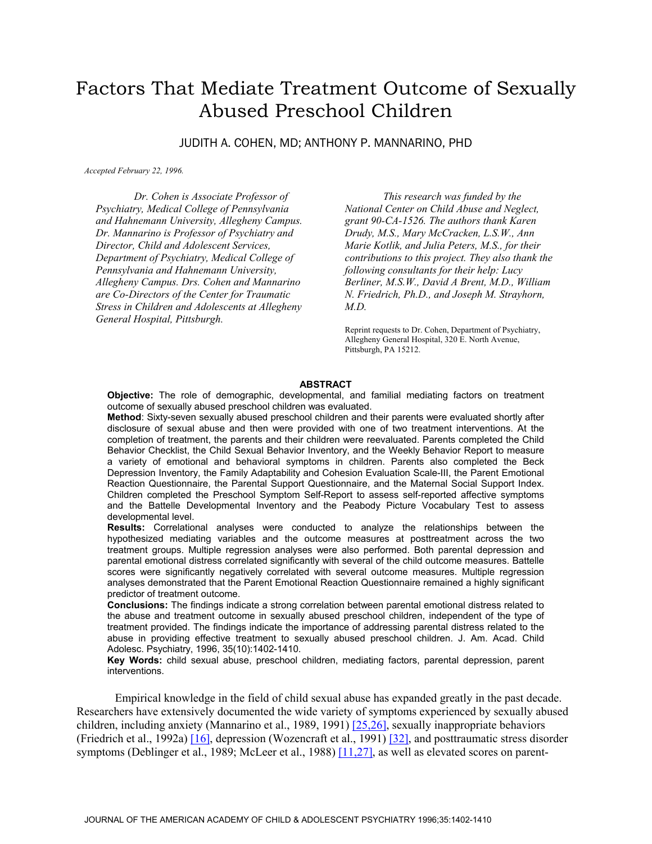# Factors That Mediate Treatment Outcome of Sexually Abused Preschool Children

JUDITH A. COHEN, MD; ANTHONY P. MANNARINO, PHD

*Accepted February 22, 1996.* 

*Dr. Cohen is Associate Professor of Psychiatry, Medical College of Pennsylvania and Hahnemann University, Allegheny Campus. Dr. Mannarino is Professor of Psychiatry and Director, Child and Adolescent Services, Department of Psychiatry, Medical College of Pennsylvania and Hahnemann University, Allegheny Campus. Drs. Cohen and Mannarino are Co-Directors of the Center for Traumatic Stress in Children and Adolescents at Allegheny General Hospital, Pittsburgh.*

*This research was funded by the National Center on Child Abuse and Neglect, grant 90-CA-1526. The authors thank Karen Drudy, M.S., Mary McCracken, L.S.W., Ann Marie Kotlik, and Julia Peters, M.S., for their contributions to this project. They also thank the following consultants for their help: Lucy Berliner, M.S.W., David A Brent, M.D., William N. Friedrich, Ph.D., and Joseph M. Strayhorn, M.D.*

Reprint requests to Dr. Cohen, Department of Psychiatry, Allegheny General Hospital, 320 E. North Avenue, Pittsburgh, PA 15212.

#### **ABSTRACT**

**Objective:** The role of demographic, developmental, and familial mediating factors on treatment outcome of sexually abused preschool children was evaluated.

**Method**: Sixty-seven sexually abused preschool children and their parents were evaluated shortly after disclosure of sexual abuse and then were provided with one of two treatment interventions. At the completion of treatment, the parents and their children were reevaluated. Parents completed the Child Behavior Checklist, the Child Sexual Behavior Inventory, and the Weekly Behavior Report to measure a variety of emotional and behavioral symptoms in children. Parents also completed the Beck Depression Inventory, the Family Adaptability and Cohesion Evaluation Scale-III, the Parent Emotional Reaction Questionnaire, the Parental Support Questionnaire, and the Maternal Social Support Index. Children completed the Preschool Symptom Self-Report to assess self-reported affective symptoms and the Battelle Developmental Inventory and the Peabody Picture Vocabulary Test to assess developmental level.

**Results:** Correlational analyses were conducted to analyze the relationships between the hypothesized mediating variables and the outcome measures at posttreatment across the two treatment groups. Multiple regression analyses were also performed. Both parental depression and parental emotional distress correlated significantly with several of the child outcome measures. Battelle scores were significantly negatively correlated with several outcome measures. Multiple regression analyses demonstrated that the Parent Emotional Reaction Questionnaire remained a highly significant predictor of treatment outcome.

**Conclusions:** The findings indicate a strong correlation between parental emotional distress related to the abuse and treatment outcome in sexually abused preschool children, independent of the type of treatment provided. The findings indicate the importance of addressing parental distress related to the abuse in providing effective treatment to sexually abused preschool children. J. Am. Acad. Child Adolesc. Psychiatry, 1996, 35(10):1402-1410.

**Key Words:** child sexual abuse, preschool children, mediating factors, parental depression, parent interventions.

Empirical knowledge in the field of child sexual abuse has expanded greatly in the past decade. Researchers have extensively documented the wide variety of symptoms experienced by sexually abused children, including anxiety (Mannarino et al., 1989, 1991) [\[25,26\],](http://ipsapp006.lwwonline.com/content/search/2600/38/27/) sexually inappropriate behaviors (Friedrich et al., 1992a) [\[16\]](http://ipsapp006.lwwonline.com/content/search/2600/38/27/), depression (Wozencraft et al., 1991) [\[32\],](http://ipsapp006.lwwonline.com/content/search/2600/38/27/) and posttraumatic stress disorder symptoms (Deblinger et al., 1989; McLeer et al., 1988) [\[11,27\],](http://ipsapp006.lwwonline.com/content/search/2600/38/27/) as well as elevated scores on parent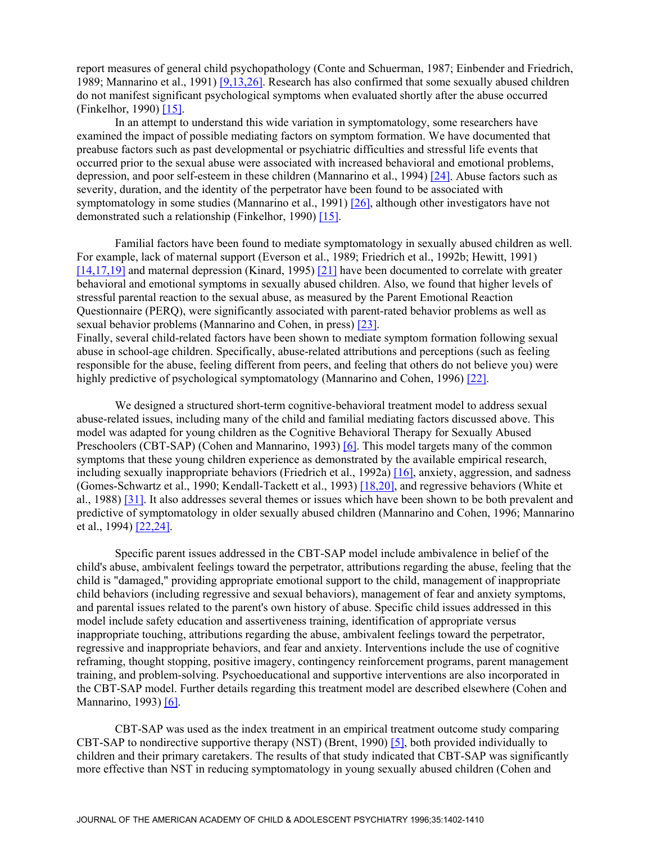report measures of general child psychopathology (Conte and Schuerman, 1987; Einbender and Friedrich, 1989; Mannarino et al., 1991) [\[9,13,26\].](http://ipsapp006.lwwonline.com/content/search/2600/38/27/) Research has also confirmed that some sexually abused children do not manifest significant psychological symptoms when evaluated shortly after the abuse occurred (Finkelhor, 1990) [\[15\].](http://ipsapp006.lwwonline.com/content/search/2600/38/27/)

In an attempt to understand this wide variation in symptomatology, some researchers have examined the impact of possible mediating factors on symptom formation. We have documented that preabuse factors such as past developmental or psychiatric difficulties and stressful life events that occurred prior to the sexual abuse were associated with increased behavioral and emotional problems, depression, and poor self-esteem in these children (Mannarino et al., 1994) [\[24\].](http://ipsapp006.lwwonline.com/content/search/2600/38/27/) Abuse factors such as severity, duration, and the identity of the perpetrator have been found to be associated with symptomatology in some studies (Mannarino et al., 1991) [\[26\],](http://ipsapp006.lwwonline.com/content/search/2600/38/27/) although other investigators have not demonstrated such a relationship (Finkelhor, 1990) [\[15\].](http://ipsapp006.lwwonline.com/content/search/2600/38/27/)

Familial factors have been found to mediate symptomatology in sexually abused children as well. For example, lack of maternal support (Everson et al., 1989; Friedrich et al., 1992b; Hewitt, 1991) [\[14,17,19\]](http://ipsapp006.lwwonline.com/content/search/2600/38/27/) and maternal depression (Kinard, 1995) [\[21\]](http://ipsapp006.lwwonline.com/content/search/2600/38/27/) have been documented to correlate with greater behavioral and emotional symptoms in sexually abused children. Also, we found that higher levels of stressful parental reaction to the sexual abuse, as measured by the Parent Emotional Reaction Questionnaire (PERQ), were significantly associated with parent-rated behavior problems as well as sexual behavior problems (Mannarino and Cohen, in press) [\[23\].](http://ipsapp006.lwwonline.com/content/search/2600/38/27/) Finally, several child-related factors have been shown to mediate symptom formation following sexual abuse in school-age children. Specifically, abuse-related attributions and perceptions (such as feeling responsible for the abuse, feeling different from peers, and feeling that others do not believe you) were highly predictive of psychological symptomatology (Mannarino and Cohen, 1996) [\[22\].](http://ipsapp006.lwwonline.com/content/search/2600/38/27/)

We designed a structured short-term cognitive-behavioral treatment model to address sexual abuse-related issues, including many of the child and familial mediating factors discussed above. This model was adapted for young children as the Cognitive Behavioral Therapy for Sexually Abused Preschoolers (CBT-SAP) (Cohen and Mannarino, 1993) [\[6\].](http://ipsapp006.lwwonline.com/content/search/2600/38/27/) This model targets many of the common symptoms that these young children experience as demonstrated by the available empirical research, including sexually inappropriate behaviors (Friedrich et al., 1992a) [\[16\]](http://ipsapp006.lwwonline.com/content/search/2600/38/27/), anxiety, aggression, and sadness (Gomes-Schwartz et al., 1990; Kendall-Tackett et al., 1993) [\[18,20\]](http://ipsapp006.lwwonline.com/content/search/2600/38/27/), and regressive behaviors (White et al., 1988) [\[31\].](http://ipsapp006.lwwonline.com/content/search/2600/38/27/) It also addresses several themes or issues which have been shown to be both prevalent and predictive of symptomatology in older sexually abused children (Mannarino and Cohen, 1996; Mannarino et al., 1994)  $[22, 24]$ .

Specific parent issues addressed in the CBT-SAP model include ambivalence in belief of the child's abuse, ambivalent feelings toward the perpetrator, attributions regarding the abuse, feeling that the child is "damaged," providing appropriate emotional support to the child, management of inappropriate child behaviors (including regressive and sexual behaviors), management of fear and anxiety symptoms, and parental issues related to the parent's own history of abuse. Specific child issues addressed in this model include safety education and assertiveness training, identification of appropriate versus inappropriate touching, attributions regarding the abuse, ambivalent feelings toward the perpetrator, regressive and inappropriate behaviors, and fear and anxiety. Interventions include the use of cognitive reframing, thought stopping, positive imagery, contingency reinforcement programs, parent management training, and problem-solving. Psychoeducational and supportive interventions are also incorporated in the CBT-SAP model. Further details regarding this treatment model are described elsewhere (Cohen and Mannarino, 1993) [\[6\].](http://ipsapp006.lwwonline.com/content/search/2600/38/27/)

CBT-SAP was used as the index treatment in an empirical treatment outcome study comparing CBT-SAP to nondirective supportive therapy (NST) (Brent, 1990) [\[5\],](http://ipsapp006.lwwonline.com/content/search/2600/38/27/) both provided individually to children and their primary caretakers. The results of that study indicated that CBT-SAP was significantly more effective than NST in reducing symptomatology in young sexually abused children (Cohen and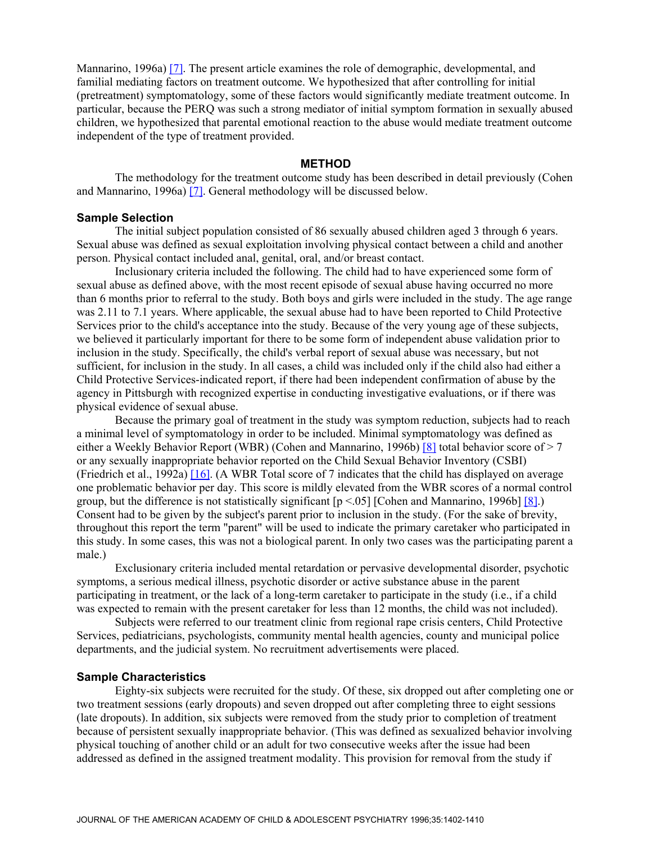Mannarino, 1996a) [\[7\].](http://ipsapp006.lwwonline.com/content/search/2600/38/27/) The present article examines the role of demographic, developmental, and familial mediating factors on treatment outcome. We hypothesized that after controlling for initial (pretreatment) symptomatology, some of these factors would significantly mediate treatment outcome. In particular, because the PERQ was such a strong mediator of initial symptom formation in sexually abused children, we hypothesized that parental emotional reaction to the abuse would mediate treatment outcome independent of the type of treatment provided.

## **METHOD**

The methodology for the treatment outcome study has been described in detail previously (Cohen and Mannarino, 1996a) [\[7\].](http://ipsapp006.lwwonline.com/content/search/2600/38/27/) General methodology will be discussed below.

## **Sample Selection**

The initial subject population consisted of 86 sexually abused children aged 3 through 6 years. Sexual abuse was defined as sexual exploitation involving physical contact between a child and another person. Physical contact included anal, genital, oral, and/or breast contact.

Inclusionary criteria included the following. The child had to have experienced some form of sexual abuse as defined above, with the most recent episode of sexual abuse having occurred no more than 6 months prior to referral to the study. Both boys and girls were included in the study. The age range was 2.11 to 7.1 years. Where applicable, the sexual abuse had to have been reported to Child Protective Services prior to the child's acceptance into the study. Because of the very young age of these subjects, we believed it particularly important for there to be some form of independent abuse validation prior to inclusion in the study. Specifically, the child's verbal report of sexual abuse was necessary, but not sufficient, for inclusion in the study. In all cases, a child was included only if the child also had either a Child Protective Services-indicated report, if there had been independent confirmation of abuse by the agency in Pittsburgh with recognized expertise in conducting investigative evaluations, or if there was physical evidence of sexual abuse.

Because the primary goal of treatment in the study was symptom reduction, subjects had to reach a minimal level of symptomatology in order to be included. Minimal symptomatology was defined as either a Weekly Behavior Report (WBR) (Cohen and Mannarino, 1996b) [\[8\]](http://ipsapp006.lwwonline.com/content/search/2600/38/27/) total behavior score of  $> 7$ or any sexually inappropriate behavior reported on the Child Sexual Behavior Inventory (CSBI) (Friedrich et al., 1992a) [\[16\]](http://ipsapp006.lwwonline.com/content/search/2600/38/27/). (A WBR Total score of 7 indicates that the child has displayed on average one problematic behavior per day. This score is mildly elevated from the WBR scores of a normal control group, but the difference is not statistically significant  $[p < .05]$  [Cohen and Mannarino, 1996b] [\[8\].](http://ipsapp006.lwwonline.com/content/search/2600/38/27/)) Consent had to be given by the subject's parent prior to inclusion in the study. (For the sake of brevity, throughout this report the term "parent" will be used to indicate the primary caretaker who participated in this study. In some cases, this was not a biological parent. In only two cases was the participating parent a male.)

Exclusionary criteria included mental retardation or pervasive developmental disorder, psychotic symptoms, a serious medical illness, psychotic disorder or active substance abuse in the parent participating in treatment, or the lack of a long-term caretaker to participate in the study (i.e., if a child was expected to remain with the present caretaker for less than 12 months, the child was not included).

Subjects were referred to our treatment clinic from regional rape crisis centers, Child Protective Services, pediatricians, psychologists, community mental health agencies, county and municipal police departments, and the judicial system. No recruitment advertisements were placed.

#### **Sample Characteristics**

Eighty-six subjects were recruited for the study. Of these, six dropped out after completing one or two treatment sessions (early dropouts) and seven dropped out after completing three to eight sessions (late dropouts). In addition, six subjects were removed from the study prior to completion of treatment because of persistent sexually inappropriate behavior. (This was defined as sexualized behavior involving physical touching of another child or an adult for two consecutive weeks after the issue had been addressed as defined in the assigned treatment modality. This provision for removal from the study if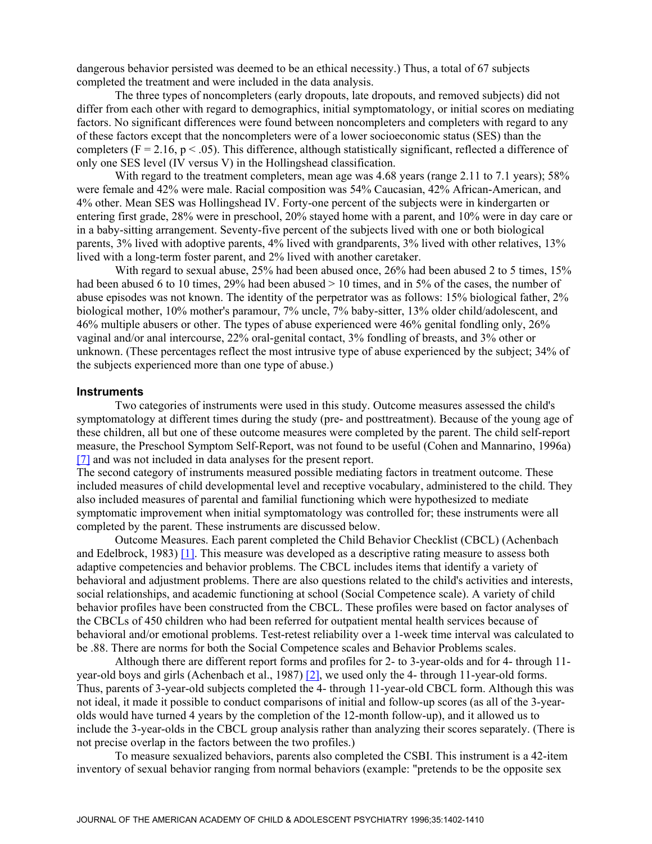dangerous behavior persisted was deemed to be an ethical necessity.) Thus, a total of 67 subjects completed the treatment and were included in the data analysis.

The three types of noncompleters (early dropouts, late dropouts, and removed subjects) did not differ from each other with regard to demographics, initial symptomatology, or initial scores on mediating factors. No significant differences were found between noncompleters and completers with regard to any of these factors except that the noncompleters were of a lower socioeconomic status (SES) than the completers ( $F = 2.16$ ,  $p < .05$ ). This difference, although statistically significant, reflected a difference of only one SES level (IV versus V) in the Hollingshead classification.

With regard to the treatment completers, mean age was 4.68 years (range 2.11 to 7.1 years); 58% were female and 42% were male. Racial composition was 54% Caucasian, 42% African-American, and 4% other. Mean SES was Hollingshead IV. Forty-one percent of the subjects were in kindergarten or entering first grade, 28% were in preschool, 20% stayed home with a parent, and 10% were in day care or in a baby-sitting arrangement. Seventy-five percent of the subjects lived with one or both biological parents, 3% lived with adoptive parents, 4% lived with grandparents, 3% lived with other relatives, 13% lived with a long-term foster parent, and 2% lived with another caretaker.

With regard to sexual abuse, 25% had been abused once, 26% had been abused 2 to 5 times, 15% had been abused 6 to 10 times, 29% had been abused > 10 times, and in 5% of the cases, the number of abuse episodes was not known. The identity of the perpetrator was as follows: 15% biological father, 2% biological mother, 10% mother's paramour, 7% uncle, 7% baby-sitter, 13% older child/adolescent, and 46% multiple abusers or other. The types of abuse experienced were 46% genital fondling only, 26% vaginal and/or anal intercourse, 22% oral-genital contact, 3% fondling of breasts, and 3% other or unknown. (These percentages reflect the most intrusive type of abuse experienced by the subject; 34% of the subjects experienced more than one type of abuse.)

#### **Instruments**

Two categories of instruments were used in this study. Outcome measures assessed the child's symptomatology at different times during the study (pre- and posttreatment). Because of the young age of these children, all but one of these outcome measures were completed by the parent. The child self-report measure, the Preschool Symptom Self-Report, was not found to be useful (Cohen and Mannarino, 1996a) [\[7\]](http://ipsapp006.lwwonline.com/content/search/2600/38/27/) and was not included in data analyses for the present report.

The second category of instruments measured possible mediating factors in treatment outcome. These included measures of child developmental level and receptive vocabulary, administered to the child. They also included measures of parental and familial functioning which were hypothesized to mediate symptomatic improvement when initial symptomatology was controlled for; these instruments were all completed by the parent. These instruments are discussed below.

Outcome Measures. Each parent completed the Child Behavior Checklist (CBCL) (Achenbach and Edelbrock, 1983) [\[1\].](http://ipsapp006.lwwonline.com/content/search/2600/38/27/) This measure was developed as a descriptive rating measure to assess both adaptive competencies and behavior problems. The CBCL includes items that identify a variety of behavioral and adjustment problems. There are also questions related to the child's activities and interests, social relationships, and academic functioning at school (Social Competence scale). A variety of child behavior profiles have been constructed from the CBCL. These profiles were based on factor analyses of the CBCLs of 450 children who had been referred for outpatient mental health services because of behavioral and/or emotional problems. Test-retest reliability over a 1-week time interval was calculated to be .88. There are norms for both the Social Competence scales and Behavior Problems scales.

Although there are different report forms and profiles for 2- to 3-year-olds and for 4- through 11 year-old boys and girls (Achenbach et al., 1987) [\[2\]](http://ipsapp006.lwwonline.com/content/search/2600/38/27/), we used only the 4- through 11-year-old forms. Thus, parents of 3-year-old subjects completed the 4- through 11-year-old CBCL form. Although this was not ideal, it made it possible to conduct comparisons of initial and follow-up scores (as all of the 3-yearolds would have turned 4 years by the completion of the 12-month follow-up), and it allowed us to include the 3-year-olds in the CBCL group analysis rather than analyzing their scores separately. (There is not precise overlap in the factors between the two profiles.)

To measure sexualized behaviors, parents also completed the CSBI. This instrument is a 42-item inventory of sexual behavior ranging from normal behaviors (example: "pretends to be the opposite sex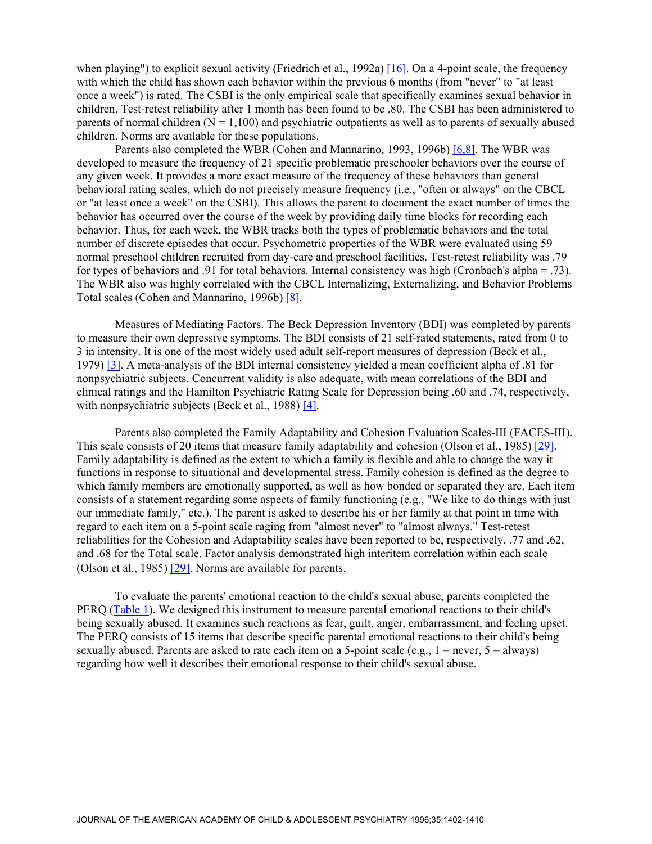when playing") to explicit sexual activity (Friedrich et al., 1992a) [\[16\].](http://ipsapp006.lwwonline.com/content/search/2600/38/27/) On a 4-point scale, the frequency with which the child has shown each behavior within the previous 6 months (from "never" to "at least once a week") is rated. The CSBI is the only empirical scale that specifically examines sexual behavior in children. Test-retest reliability after 1 month has been found to be .80. The CSBI has been administered to parents of normal children  $(N = 1,100)$  and psychiatric outpatients as well as to parents of sexually abused children. Norms are available for these populations.

Parents also completed the WBR (Cohen and Mannarino, 1993, 1996b) [\[6,8\]](http://ipsapp006.lwwonline.com/content/search/2600/38/27/). The WBR was developed to measure the frequency of 21 specific problematic preschooler behaviors over the course of any given week. It provides a more exact measure of the frequency of these behaviors than general behavioral rating scales, which do not precisely measure frequency (i.e., "often or always" on the CBCL or "at least once a week" on the CSBI). This allows the parent to document the exact number of times the behavior has occurred over the course of the week by providing daily time blocks for recording each behavior. Thus, for each week, the WBR tracks both the types of problematic behaviors and the total number of discrete episodes that occur. Psychometric properties of the WBR were evaluated using 59 normal preschool children recruited from day-care and preschool facilities. Test-retest reliability was .79 for types of behaviors and .91 for total behaviors. Internal consistency was high (Cronbach's alpha = .73). The WBR also was highly correlated with the CBCL Internalizing, Externalizing, and Behavior Problems Total scales (Cohen and Mannarino, 1996b) [\[8\]](http://ipsapp006.lwwonline.com/content/search/2600/38/27/).

Measures of Mediating Factors. The Beck Depression Inventory (BDI) was completed by parents to measure their own depressive symptoms. The BDI consists of 21 self-rated statements, rated from 0 to 3 in intensity. It is one of the most widely used adult self-report measures of depression (Beck et al., 1979) [\[3\]](http://ipsapp006.lwwonline.com/content/search/2600/38/27/). A meta-analysis of the BDI internal consistency yielded a mean coefficient alpha of .81 for nonpsychiatric subjects. Concurrent validity is also adequate, with mean correlations of the BDI and clinical ratings and the Hamilton Psychiatric Rating Scale for Depression being .60 and .74, respectively, with nonpsychiatric subjects (Beck et al., 1988) [\[4\]](http://ipsapp006.lwwonline.com/content/search/2600/38/27/).

Parents also completed the Family Adaptability and Cohesion Evaluation Scales-III (FACES-III). This scale consists of 20 items that measure family adaptability and cohesion (Olson et al., 1985) [\[29\]](http://ipsapp006.lwwonline.com/content/search/2600/38/27/). Family adaptability is defined as the extent to which a family is flexible and able to change the way it functions in response to situational and developmental stress. Family cohesion is defined as the degree to which family members are emotionally supported, as well as how bonded or separated they are. Each item consists of a statement regarding some aspects of family functioning (e.g., "We like to do things with just our immediate family," etc.). The parent is asked to describe his or her family at that point in time with regard to each item on a 5-point scale raging from "almost never" to "almost always." Test-retest reliabilities for the Cohesion and Adaptability scales have been reported to be, respectively, .77 and .62, and .68 for the Total scale. Factor analysis demonstrated high interitem correlation within each scale (Olson et al., 1985) [\[29\]](http://ipsapp006.lwwonline.com/content/search/2600/38/27/). Norms are available for parents.

To evaluate the parents' emotional reaction to the child's sexual abuse, parents completed the PERQ (Table 1). We designed this instrument to measure parental emotional reactions to their child's being sexually abused. It examines such reactions as fear, guilt, anger, embarrassment, and feeling upset. The PERQ consists of 15 items that describe specific parental emotional reactions to their child's being sexually abused. Parents are asked to rate each item on a 5-point scale (e.g.,  $1 =$  never,  $5 =$  always) regarding how well it describes their emotional response to their child's sexual abuse.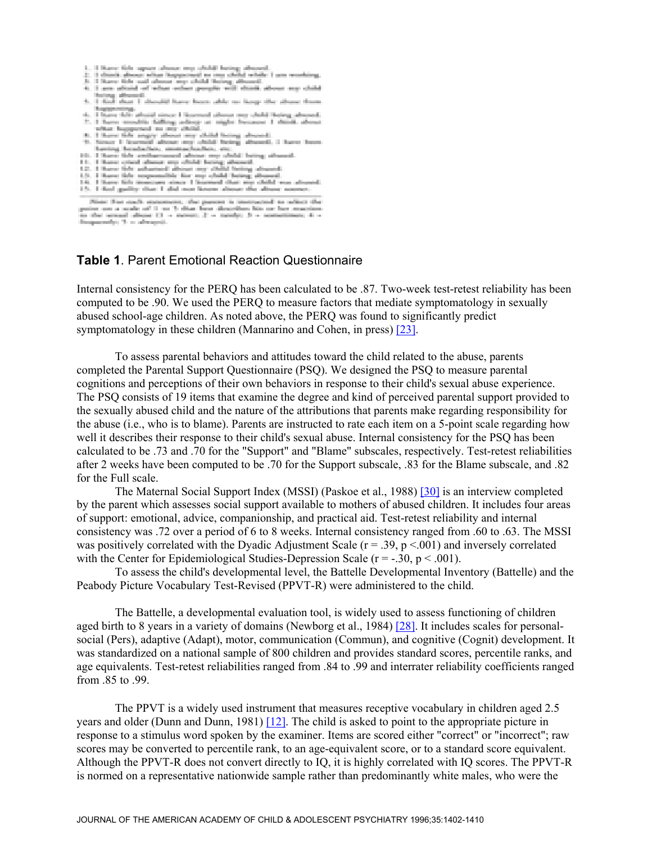- 
- 
- $\lambda$  . I have fals agrees always my offshill being alwared.<br> $\lambda$  . I should always what happened as my child while I are working. <br>  $\lambda$  . There this out always clear ray child while<br> $\lambda$  . I have always out what we<br>have
- and allowed ...<br>And also I should have been able to keep the ab
- any fully affected sincer I howwood about may child busing.
- 
- 1. I have trendits folling adopt at high- because 1 shock above.<br>
1. I have trendits folling adopt at high- because 1 shock above.<br>
2. I have folk angry about my child being aboved.<br>
2. I have folk angry about my child bei
- 
- 
- 
- 12. | Denne under allegen auf, alleide besteg afhancel.<br>| 12. | Denne under anderen alleide besteg afhancel.<br>| 12. | Denne fich anderen alleide ander may child besteg afhancel.<br>| 12. | Denne fich stragerant alleas 1 facett
- 

Notes from each statements, that parent is instructed to solver the form of the state of 1 on 5 diets.  $\mu$  that actually allocate  $\Box\to\infty$  correct,  $\Box\to\infty$  and  $\mu_1$  ,  $\Box\to\infty$  and temperature  $\Box\to\infty$  allocated.

# **Table 1**. Parent Emotional Reaction Questionnaire

Internal consistency for the PERQ has been calculated to be .87. Two-week test-retest reliability has been computed to be .90. We used the PERQ to measure factors that mediate symptomatology in sexually abused school-age children. As noted above, the PERQ was found to significantly predict symptomatology in these children (Mannarino and Cohen, in press) [\[23\].](http://ipsapp006.lwwonline.com/content/search/2600/38/27/)

To assess parental behaviors and attitudes toward the child related to the abuse, parents completed the Parental Support Questionnaire (PSQ). We designed the PSQ to measure parental cognitions and perceptions of their own behaviors in response to their child's sexual abuse experience. The PSQ consists of 19 items that examine the degree and kind of perceived parental support provided to the sexually abused child and the nature of the attributions that parents make regarding responsibility for the abuse (i.e., who is to blame). Parents are instructed to rate each item on a 5-point scale regarding how well it describes their response to their child's sexual abuse. Internal consistency for the PSQ has been calculated to be .73 and .70 for the "Support" and "Blame" subscales, respectively. Test-retest reliabilities after 2 weeks have been computed to be .70 for the Support subscale, .83 for the Blame subscale, and .82 for the Full scale.

The Maternal Social Support Index (MSSI) (Paskoe et al., 1988) [\[30\]](http://ipsapp006.lwwonline.com/content/search/2600/38/27/) is an interview completed by the parent which assesses social support available to mothers of abused children. It includes four areas of support: emotional, advice, companionship, and practical aid. Test-retest reliability and internal consistency was .72 over a period of 6 to 8 weeks. Internal consistency ranged from .60 to .63. The MSSI was positively correlated with the Dyadic Adjustment Scale ( $r = .39$ ,  $p < .001$ ) and inversely correlated with the Center for Epidemiological Studies-Depression Scale ( $r = -0.30$ ,  $p < 0.001$ ).

To assess the child's developmental level, the Battelle Developmental Inventory (Battelle) and the Peabody Picture Vocabulary Test-Revised (PPVT-R) were administered to the child.

The Battelle, a developmental evaluation tool, is widely used to assess functioning of children aged birth to 8 years in a variety of domains (Newborg et al., 1984) [\[28\].](http://ipsapp006.lwwonline.com/content/search/2600/38/27/) It includes scales for personalsocial (Pers), adaptive (Adapt), motor, communication (Commun), and cognitive (Cognit) development. It was standardized on a national sample of 800 children and provides standard scores, percentile ranks, and age equivalents. Test-retest reliabilities ranged from .84 to .99 and interrater reliability coefficients ranged from .85 to .99.

The PPVT is a widely used instrument that measures receptive vocabulary in children aged 2.5 years and older (Dunn and Dunn, 1981) [\[12\]](http://ipsapp006.lwwonline.com/content/search/2600/38/27/). The child is asked to point to the appropriate picture in response to a stimulus word spoken by the examiner. Items are scored either "correct" or "incorrect"; raw scores may be converted to percentile rank, to an age-equivalent score, or to a standard score equivalent. Although the PPVT-R does not convert directly to IQ, it is highly correlated with IQ scores. The PPVT-R is normed on a representative nationwide sample rather than predominantly white males, who were the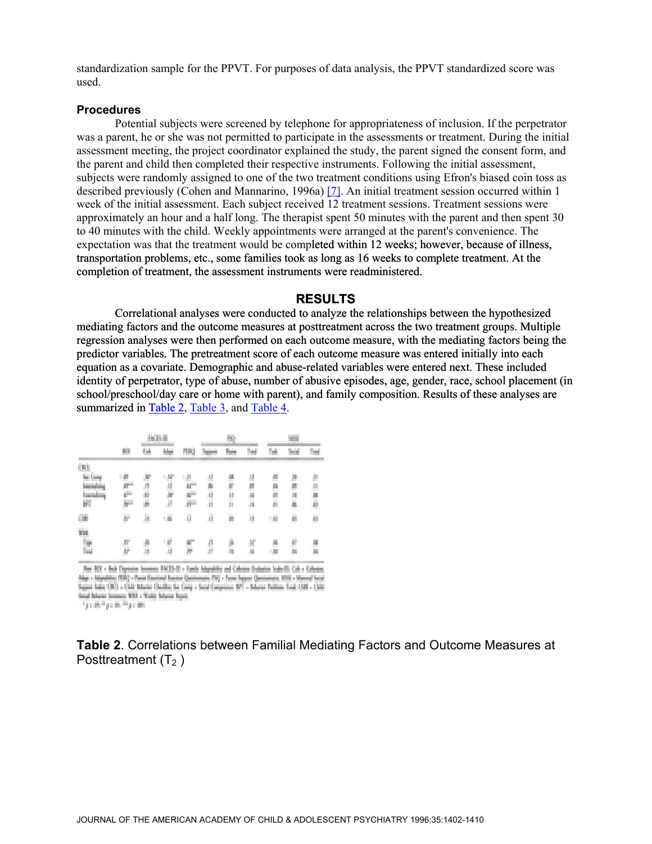standardization sample for the PPVT. For purposes of data analysis, the PPVT standardized score was used.

#### **Procedures**

Potential subjects were screened by telephone for appropriateness of inclusion. If the perpetrator was a pa rent, he or she was not permitted to participate in the assessments or treatment. During the initial subjects were randomly assigned to one of the two treatment conditions using Efron's biased coin toss as assessment meeting, the project coordinator explained the study, the parent signed the consent form, and the parent and child then completed their respective instruments. Following the initial assessment, described previously (Cohen and Mannarino, 1996a) [7]. An initial treatment session occurred within 1 week of the initial assessment. Each subject received 12 treatment sessions. Treatment sessions were approximately an hour and a half long. The therapist spent 50 minutes with the parent and then spent 3 to 40 minutes with the child. Weekly appointments were arranged at the parent's convenience. The approximately an hour and a half long. The therapist spent 50 minutes with the parent and then spent 30 to 40 minutes with the child. Weekly appointments were arranged at the parent's convenience. The expectation was that transportation problems, etc., some families took as long as 16 weeks to complete treatment. At the completion of treatment, the assessment instruments were readministered.

# **RESULTS**

Correlational analyses were conducted to analyze the relationships between the hypothesized mediatin g factors and the outcome measures at posttreatment across the two treatment groups. Multiple identity of perpetrator, type of abuse, number of abusive episodes, age, gender, race, school placement (in regression analyses were then performed on each outcome measure, with the mediating factors being the predictor variables. The pretreatment score of each outcome measure was entered initially into each equation as a covariate. Demographic and abuse-related variables were entered next. These included school/preschool/day care or home with parent), and family composition. Results of these analyses are summarized in **Table 2**, Table 3, and Table 4.

|                 | <b>MAR</b>          |             |               |                              | m                   |              |             | m.        |                        |     |
|-----------------|---------------------|-------------|---------------|------------------------------|---------------------|--------------|-------------|-----------|------------------------|-----|
|                 | <b>IT BET</b><br>ыı |             | <b>May</b>    | <b>STERN IN</b><br><b>NB</b> | .                   | <b>Sept.</b> | hail.       | Tele      | <b>Seld</b>            | Tod |
| 00              |                     | <b>STEP</b> |               |                              |                     |              |             |           |                        |     |
| la Lag          | $\pm 0$             | w           | $\mathcal{M}$ | r ja                         | H                   |              | H           | ø         | ji.                    | þ   |
| an salahira     | F                   | n.          | 医管区           | r                            |                     | п            |             | 韻         |                        |     |
|                 |                     | 攤<br>v.     |               |                              | 言語                  | H            |             | 措         | Ш                      |     |
| Isendory<br>197 | y.                  | 厝           |               | F                            | т                   | Ш<br>m       | ā<br>m      | а         | m.<br><b>The State</b> | 言語の |
| 98              | Ħ                   | ä.          | 18<br>.       | $\overline{u}$<br>m          | $\overline{\omega}$ | ä.           | Ü           | 埔         | ă.                     | ø   |
| n<br>G          |                     |             |               |                              |                     |              | <b>TELE</b> | <b>DO</b> |                        |     |
|                 | er<br>Ur            |             | 16            | ¢                            | į.                  |              | w           | ë         | ú.                     |     |
|                 | m                   | H.          | -H            | m                            | Ù.                  |              |             |           | 脳                      | ă   |

For RS - Belt Darreine Seemes: ERSS-EI - Funds Adapteller and Colonias Trabacter Sales-EL Colo - Colonias. Alige - Adopticity (1992) - Pana Eminest Realist Quarterator (N2) - Term Septer Questanaes (800 - Manual Societ<br>Septer believ (20), - (1998 Maria: (Sachin; Ser Cairp - Sack Component N7) - Maria: Politics: Tout (1981 - Okk Soud Marie Immuno VSI - Yasky Marie Royal

Specific Specific President

**Table 2**. Correlations between Familial Mediating Factors and Outcome Measures at Posttreatment  $(T_2)$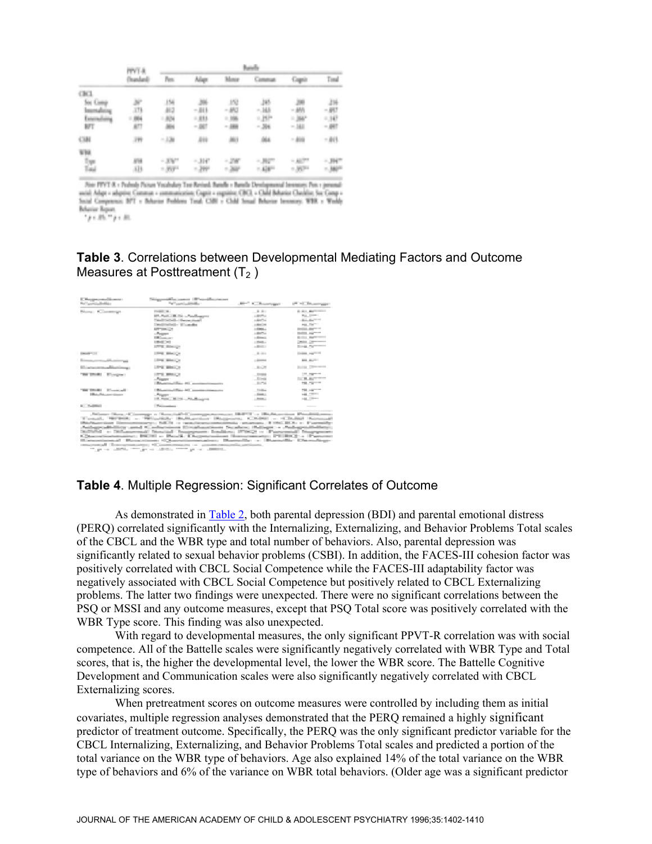|                                                                                            | PPCT-8                 | <b>Bandle</b> |         |                                |                                                                                                                                                                                                                                                      |                              |                      |  |  |  |
|--------------------------------------------------------------------------------------------|------------------------|---------------|---------|--------------------------------|------------------------------------------------------------------------------------------------------------------------------------------------------------------------------------------------------------------------------------------------------|------------------------------|----------------------|--|--|--|
|                                                                                            | <b>Osyndardi</b>       | h.            | Matt    | Magg.                          | <b>Service</b>                                                                                                                                                                                                                                       | <b>Card</b>                  | Tonal                |  |  |  |
| 1343                                                                                       |                        |               |         |                                |                                                                                                                                                                                                                                                      |                              |                      |  |  |  |
| Soc Comp.                                                                                  | ×                      | $\pm 56$      | 36      | 150                            | 36                                                                                                                                                                                                                                                   | m                            | 496                  |  |  |  |
| bramalising                                                                                | <b>ATA</b>             | 62            | - all b | - and                          | $-165$                                                                                                                                                                                                                                               | - en                         | $-10^{17}$           |  |  |  |
| <b>Executiving</b>                                                                         | - 89                   | 1,899         | $-101$  | - 596                          | - 22                                                                                                                                                                                                                                                 | - JMY                        | $-147$               |  |  |  |
| BT.                                                                                        | an.                    | <b>Bin</b>    | $-187$  | <b>COMPA</b><br><b>COLLEGE</b> | $-201$                                                                                                                                                                                                                                               | $-141$                       | $-100$               |  |  |  |
| 1,781                                                                                      | <b>ITT</b>             | $-120$        | AH.     | <b>ALC</b>                     | <b>Birth</b><br><b>The Contract of the Contract of the Contract of the Contract of the Contract of the Contract of the Contract of the Contract of the Contract of The Contract of The Contract of The Contract of The Contract of The Contract </b> | $-100$<br><b>The Control</b> | $-403$               |  |  |  |
| $\begin{array}{c} \nabla \mathbf{M} \\ \nabla \mathbf{P} \\ \nabla \mathbf{M} \end{array}$ |                        |               |         |                                |                                                                                                                                                                                                                                                      |                              |                      |  |  |  |
|                                                                                            | <b>COLLECT</b><br>an a | - 230         | 一般的     | - 295                          | - Mill                                                                                                                                                                                                                                               | $\sim 10^{100}$              | - JHT                |  |  |  |
| <b>The Second Service</b>                                                                  | 48                     | $-200$        | $-200$  | $-260$                         | <b>CART</b>                                                                                                                                                                                                                                          | $-307 -$                     | $-340$ <sup>**</sup> |  |  |  |

See PPC & - Paleoly Pature Veschulury Tree Revised: Buitelle - Revolut Developmental Investory. Perc - perce estid Alapt - alaptos Canasas - constantosion Capit - capitins CBCL - Child Biltotto Checkles for Comp Sold Cooperate B77 - Behavior Publices Total COR - Clold Sound Behavior Investory, WBR - Weddy **Behavior Bayon.** 

tax all that all.

# **Table 3**. Correlations between Developmental Mediating Factors and Outcome Measures at Posttreatment  $(T<sub>2</sub>)$



# **Table 4**. Multiple Regression: Significant Correlates of Outcome

As demonstrated in Table 2, both parental depression (BDI) and parental emotional distress (PERQ) correlated significantly with the Internalizing, Externalizing, and Behavior Problems Total scales of the CBCL and the WBR type and total number of behaviors. Also, parental depression was significantly related to sexual behavior problems (CSBI). In addition, the FACES-III cohesion factor was positively correlated with CBCL Social Competence while the FACES-III adaptability factor was negatively associated with CBCL Social Competence but positively related to CBCL Externalizing problems. The latter two findings were unexpected. There were no significant correlations between the PSQ or MSSI and any outcome measures, except that PSQ Total score was positively correlated with the WBR Type score. This finding was also unexpected.

With regard to developmental measures, the only significant PPVT-R correlation was with social competence. All of the Battelle scales were significantly negatively correlated with WBR Type and Total scores, that is, the higher the developmental level, the lower the WBR score. The Battelle Cognitive Development and Communication scales were also significantly negatively correlated with CBCL Externalizing scores.

When pretreatment scores on outcome measures were controlled by including them as initial covariates, multiple regression analyses demonstrated that the PERQ remained a highly significant predictor of treatment outcome. Specifically, the PERQ was the only significant predictor variable for the CBCL Internalizing, Externalizing, and Behavior Problems Total scales and predicted a portion of the total variance on the WBR type of behaviors. Age also explained 14% of the total variance on the WBR type of behaviors and 6% of the variance on WBR total behaviors. (Older age was a significant predictor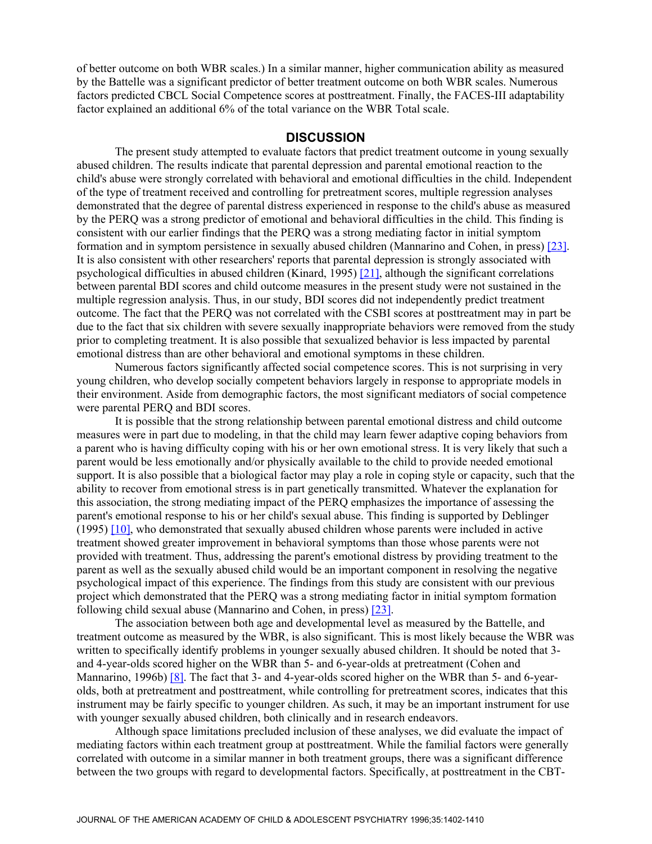of better outcome on both WBR scales.) In a similar manner, higher communication ability as measured by the Battelle was a significant predictor of better treatment outcome on both WBR scales. Numerous factors predicted CBCL Social Competence scores at posttreatment. Finally, the FACES-III adaptability factor explained an additional 6% of the total variance on the WBR Total scale.

# **DISCUSSION**

The present study attempted to evaluate factors that predict treatment outcome in young sexually abused children. The results indicate that parental depression and parental emotional reaction to the child's abuse were strongly correlated with behavioral and emotional difficulties in the child. Independent of the type of treatment received and controlling for pretreatment scores, multiple regression analyses demonstrated that the degree of parental distress experienced in response to the child's abuse as measured by the PERQ was a strong predictor of emotional and behavioral difficulties in the child. This finding is consistent with our earlier findings that the PERQ was a strong mediating factor in initial symptom formation and in symptom persistence in sexually abused children (Mannarino and Cohen, in press) [\[23\]](http://ipsapp003.lwwonline.com/content/search/2600/38/27/). It is also consistent with other researchers' reports that parental depression is strongly associated with psychological difficulties in abused children (Kinard, 1995) [\[21\]](http://ipsapp003.lwwonline.com/content/search/2600/38/27/), although the significant correlations between parental BDI scores and child outcome measures in the present study were not sustained in the multiple regression analysis. Thus, in our study, BDI scores did not independently predict treatment outcome. The fact that the PERQ was not correlated with the CSBI scores at posttreatment may in part be due to the fact that six children with severe sexually inappropriate behaviors were removed from the study prior to completing treatment. It is also possible that sexualized behavior is less impacted by parental emotional distress than are other behavioral and emotional symptoms in these children.

Numerous factors significantly affected social competence scores. This is not surprising in very young children, who develop socially competent behaviors largely in response to appropriate models in their environment. Aside from demographic factors, the most significant mediators of social competence were parental PERQ and BDI scores.

It is possible that the strong relationship between parental emotional distress and child outcome measures were in part due to modeling, in that the child may learn fewer adaptive coping behaviors from a parent who is having difficulty coping with his or her own emotional stress. It is very likely that such a parent would be less emotionally and/or physically available to the child to provide needed emotional support. It is also possible that a biological factor may play a role in coping style or capacity, such that the ability to recover from emotional stress is in part genetically transmitted. Whatever the explanation for this association, the strong mediating impact of the PERQ emphasizes the importance of assessing the parent's emotional response to his or her child's sexual abuse. This finding is supported by Deblinger (1995) [\[10\]](http://ipsapp003.lwwonline.com/content/search/2600/38/27/), who demonstrated that sexually abused children whose parents were included in active treatment showed greater improvement in behavioral symptoms than those whose parents were not provided with treatment. Thus, addressing the parent's emotional distress by providing treatment to the parent as well as the sexually abused child would be an important component in resolving the negative psychological impact of this experience. The findings from this study are consistent with our previous project which demonstrated that the PERQ was a strong mediating factor in initial symptom formation following child sexual abuse (Mannarino and Cohen, in press) [\[23\]](http://ipsapp003.lwwonline.com/content/search/2600/38/27/).

The association between both age and developmental level as measured by the Battelle, and treatment outcome as measured by the WBR, is also significant. This is most likely because the WBR was written to specifically identify problems in younger sexually abused children. It should be noted that 3 and 4-year-olds scored higher on the WBR than 5- and 6-year-olds at pretreatment (Cohen and Mannarino, 1996b) [\[8\].](http://ipsapp003.lwwonline.com/content/search/2600/38/27/) The fact that 3- and 4-year-olds scored higher on the WBR than 5- and 6-yearolds, both at pretreatment and posttreatment, while controlling for pretreatment scores, indicates that this instrument may be fairly specific to younger children. As such, it may be an important instrument for use with younger sexually abused children, both clinically and in research endeavors.

Although space limitations precluded inclusion of these analyses, we did evaluate the impact of mediating factors within each treatment group at posttreatment. While the familial factors were generally correlated with outcome in a similar manner in both treatment groups, there was a significant difference between the two groups with regard to developmental factors. Specifically, at posttreatment in the CBT-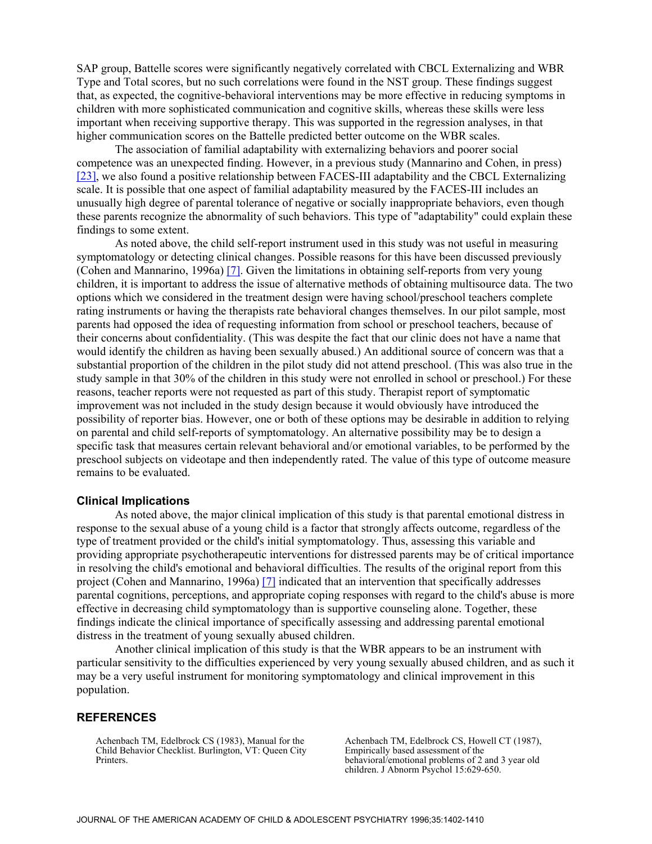SAP group, Battelle scores were significantly negatively correlated with CBCL Externalizing and WBR Type and Total scores, but no such correlations were found in the NST group. These findings suggest that, as expected, the cognitive-behavioral interventions may be more effective in reducing symptoms in children with more sophisticated communication and cognitive skills, whereas these skills were less important when receiving supportive therapy. This was supported in the regression analyses, in that higher communication scores on the Battelle predicted better outcome on the WBR scales.

The association of familial adaptability with externalizing behaviors and poorer social competence was an unexpected finding. However, in a previous study (Mannarino and Cohen, in press) [\[23\]](http://ipsapp003.lwwonline.com/content/search/2600/38/27/), we also found a positive relationship between FACES-III adaptability and the CBCL Externalizing scale. It is possible that one aspect of familial adaptability measured by the FACES-III includes an unusually high degree of parental tolerance of negative or socially inappropriate behaviors, even though these parents recognize the abnormality of such behaviors. This type of "adaptability" could explain these findings to some extent.

As noted above, the child self-report instrument used in this study was not useful in measuring symptomatology or detecting clinical changes. Possible reasons for this have been discussed previously (Cohen and Mannarino, 1996a) [\[7\].](http://ipsapp003.lwwonline.com/content/search/2600/38/27/) Given the limitations in obtaining self-reports from very young children, it is important to address the issue of alternative methods of obtaining multisource data. The two options which we considered in the treatment design were having school/preschool teachers complete rating instruments or having the therapists rate behavioral changes themselves. In our pilot sample, most parents had opposed the idea of requesting information from school or preschool teachers, because of their concerns about confidentiality. (This was despite the fact that our clinic does not have a name that would identify the children as having been sexually abused.) An additional source of concern was that a substantial proportion of the children in the pilot study did not attend preschool. (This was also true in the study sample in that 30% of the children in this study were not enrolled in school or preschool.) For these reasons, teacher reports were not requested as part of this study. Therapist report of symptomatic improvement was not included in the study design because it would obviously have introduced the possibility of reporter bias. However, one or both of these options may be desirable in addition to relying on parental and child self-reports of symptomatology. An alternative possibility may be to design a specific task that measures certain relevant behavioral and/or emotional variables, to be performed by the preschool subjects on videotape and then independently rated. The value of this type of outcome measure remains to be evaluated.

#### **Clinical Implications**

As noted above, the major clinical implication of this study is that parental emotional distress in response to the sexual abuse of a young child is a factor that strongly affects outcome, regardless of the type of treatment provided or the child's initial symptomatology. Thus, assessing this variable and providing appropriate psychotherapeutic interventions for distressed parents may be of critical importance in resolving the child's emotional and behavioral difficulties. The results of the original report from this project (Cohen and Mannarino, 1996a) [\[7\]](http://ipsapp003.lwwonline.com/content/search/2600/38/27/) indicated that an intervention that specifically addresses parental cognitions, perceptions, and appropriate coping responses with regard to the child's abuse is more effective in decreasing child symptomatology than is supportive counseling alone. Together, these findings indicate the clinical importance of specifically assessing and addressing parental emotional distress in the treatment of young sexually abused children.

Another clinical implication of this study is that the WBR appears to be an instrument with particular sensitivity to the difficulties experienced by very young sexually abused children, and as such it may be a very useful instrument for monitoring symptomatology and clinical improvement in this population.

## **REFERENCES**

 Achenbach TM, Edelbrock CS (1983), Manual for the Child Behavior Checklist. Burlington, VT: Queen City Printers.

Achenbach TM, Edelbrock CS, Howell CT (1987), Empirically based assessment of the behavioral/emotional problems of 2 and 3 year old children. J Abnorm Psychol 15:629-650.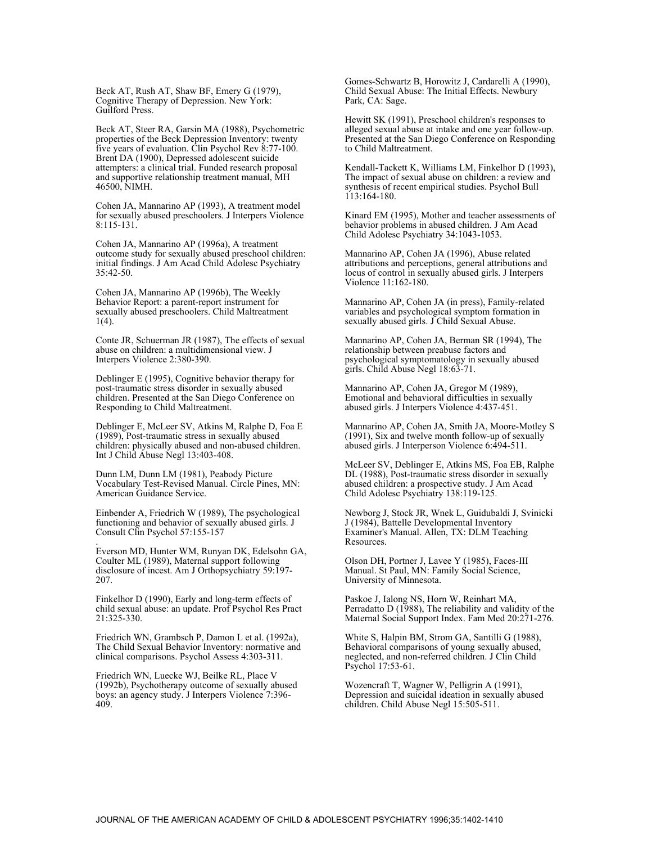Beck AT, Rush AT, Shaw BF, Emery G (1979), Cognitive Therapy of Depression. New York: Guilford Press.

Beck AT, Steer RA, Garsin MA (1988), Psychometric properties of the Beck Depression Inventory: twenty five years of evaluation. Clin Psychol Rev 8:77-100. Brent DA (1900), Depressed adolescent suicide attempters: a clinical trial. Funded research proposal and supportive relationship treatment manual, MH 46500, NIMH.

Cohen JA, Mannarino AP (1993), A treatment model for sexually abused preschoolers. J Interpers Violence 8:115-131.

Cohen JA, Mannarino AP (1996a), A treatment outcome study for sexually abused preschool children: initial findings. J Am Acad Child Adolesc Psychiatry 35:42-50.

Cohen JA, Mannarino AP (1996b), The Weekly Behavior Report: a parent-report instrument for sexually abused preschoolers. Child Maltreatment 1(4).

Conte JR, Schuerman JR (1987), The effects of sexual abuse on children: a multidimensional view. J Interpers Violence 2:380-390.

Deblinger E (1995), Cognitive behavior therapy for post-traumatic stress disorder in sexually abused children. Presented at the San Diego Conference on Responding to Child Maltreatment.

Deblinger E, McLeer SV, Atkins M, Ralphe D, Foa E (1989), Post-traumatic stress in sexually abused children: physically abused and non-abused children. Int J Child Abuse Negl 13:403-408.

Dunn LM, Dunn LM (1981), Peabody Picture Vocabulary Test-Revised Manual. Circle Pines, MN: American Guidance Service.

Einbender A, Friedrich W (1989), The psychological functioning and behavior of sexually abused girls. J Consult Clin Psychol 57:155-157 .

Everson MD, Hunter WM, Runyan DK, Edelsohn GA, Coulter ML (1989), Maternal support following disclosure of incest. Am J Orthopsychiatry 59:197- 207.

Finkelhor D (1990), Early and long-term effects of child sexual abuse: an update. Prof Psychol Res Pract 21:325-330.

Friedrich WN, Grambsch P, Damon L et al. (1992a), The Child Sexual Behavior Inventory: normative and clinical comparisons. Psychol Assess 4:303-311.

Friedrich WN, Luecke WJ, Beilke RL, Place V (1992b), Psychotherapy outcome of sexually abused boys: an agency study. J Interpers Violence 7:396- 409.

Gomes-Schwartz B, Horowitz J, Cardarelli A (1990), Child Sexual Abuse: The Initial Effects. Newbury Park, CA: Sage.

Hewitt SK (1991), Preschool children's responses to alleged sexual abuse at intake and one year follow-up. Presented at the San Diego Conference on Responding to Child Maltreatment.

Kendall-Tackett K, Williams LM, Finkelhor D (1993), The impact of sexual abuse on children: a review and synthesis of recent empirical studies. Psychol Bull 113:164-180.

Kinard EM (1995), Mother and teacher assessments of behavior problems in abused children. J Am Acad Child Adolesc Psychiatry 34:1043-1053.

Mannarino AP, Cohen JA (1996), Abuse related attributions and perceptions, general attributions and locus of control in sexually abused girls. J Interpers Violence 11:162-180.

Mannarino AP, Cohen JA (in press), Family-related variables and psychological symptom formation in sexually abused girls. J Child Sexual Abuse.

Mannarino AP, Cohen JA, Berman SR (1994), The relationship between preabuse factors and psychological symptomatology in sexually abused girls. Child Abuse Negl 18:63-71.

Mannarino AP, Cohen JA, Gregor M (1989), Emotional and behavioral difficulties in sexually abused girls. J Interpers Violence 4:437-451.

Mannarino AP, Cohen JA, Smith JA, Moore-Motley S (1991), Six and twelve month follow-up of sexually abused girls. J Interperson Violence 6:494-511.

McLeer SV, Deblinger E, Atkins MS, Foa EB, Ralphe DL (1988), Post-traumatic stress disorder in sexually abused children: a prospective study. J Am Acad Child Adolesc Psychiatry 138:119-125.

Newborg J, Stock JR, Wnek L, Guidubaldi J, Svinicki J (1984), Battelle Developmental Inventory Examiner's Manual. Allen, TX: DLM Teaching Resources.

Olson DH, Portner J, Lavee Y (1985), Faces-III Manual. St Paul, MN: Family Social Science, University of Minnesota.

Paskoe J, Ialong NS, Horn W, Reinhart MA, Perradatto D (1988), The reliability and validity of the Maternal Social Support Index. Fam Med 20:271-276.

White S, Halpin BM, Strom GA, Santilli G (1988), Behavioral comparisons of young sexually abused, neglected, and non-referred children. J Clin Child Psychol 17:53-61.

Wozencraft T, Wagner W, Pelligrin A (1991), Depression and suicidal ideation in sexually abused children. Child Abuse Negl 15:505-511.